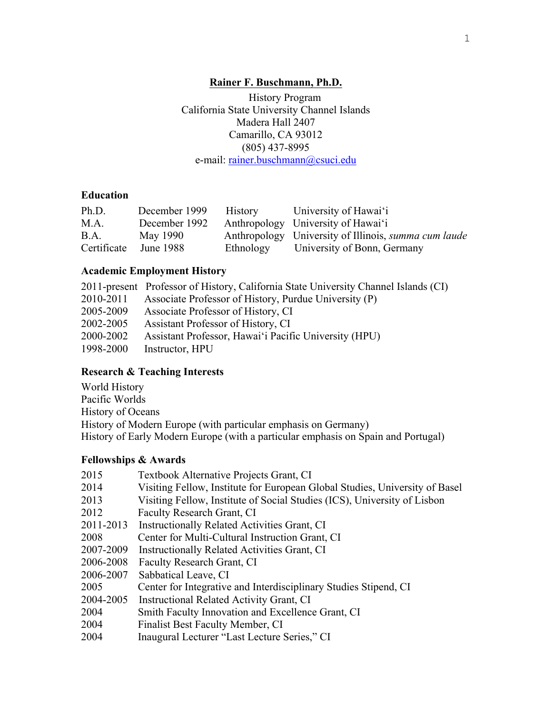### **Rainer F. Buschmann, Ph.D.**

 History Program California State University Channel Islands Madera Hall 2407 Camarillo, CA 93012 (805) 437-8995 e-mail: rainer.buschmann@csuci.edu

### **Education**

| Ph.D.       | December 1999 | <b>History</b> | University of Hawai'i                                       |
|-------------|---------------|----------------|-------------------------------------------------------------|
| M.A.        | December 1992 |                | Anthropology University of Hawai'i                          |
| B.A.        | May 1990      |                | Anthropology University of Illinois, <i>summa cum laude</i> |
| Certificate | June 1988     | Ethnology      | University of Bonn, Germany                                 |

### **Academic Employment History**

|           | 2011-present Professor of History, California State University Channel Islands (CI) |
|-----------|-------------------------------------------------------------------------------------|
| 2010-2011 | Associate Professor of History, Purdue University (P)                               |
| 2005-2009 | Associate Professor of History, CI                                                  |
| 2002-2005 | Assistant Professor of History, CI                                                  |
| 2000-2002 | Assistant Professor, Hawai'i Pacific University (HPU)                               |
| 1998-2000 | Instructor, HPU                                                                     |

### **Research & Teaching Interests**

World History Pacific Worlds History of Oceans History of Modern Europe (with particular emphasis on Germany) History of Early Modern Europe (with a particular emphasis on Spain and Portugal)

### **Fellowships & Awards**

| 2015      | Textbook Alternative Projects Grant, CI                                     |
|-----------|-----------------------------------------------------------------------------|
| 2014      | Visiting Fellow, Institute for European Global Studies, University of Basel |
| 2013      | Visiting Fellow, Institute of Social Studies (ICS), University of Lisbon    |
| 2012      | <b>Faculty Research Grant, CI</b>                                           |
| 2011-2013 | <b>Instructionally Related Activities Grant, CI</b>                         |
| 2008      | Center for Multi-Cultural Instruction Grant, CI                             |
| 2007-2009 | Instructionally Related Activities Grant, CI                                |
| 2006-2008 | Faculty Research Grant, CI                                                  |
| 2006-2007 | Sabbatical Leave, CI                                                        |
| 2005      | Center for Integrative and Interdisciplinary Studies Stipend, CI            |
| 2004-2005 | Instructional Related Activity Grant, CI                                    |
| 2004      | Smith Faculty Innovation and Excellence Grant, CI                           |
| 2004      | Finalist Best Faculty Member, CI                                            |
| 2004      | Inaugural Lecturer "Last Lecture Series," CI                                |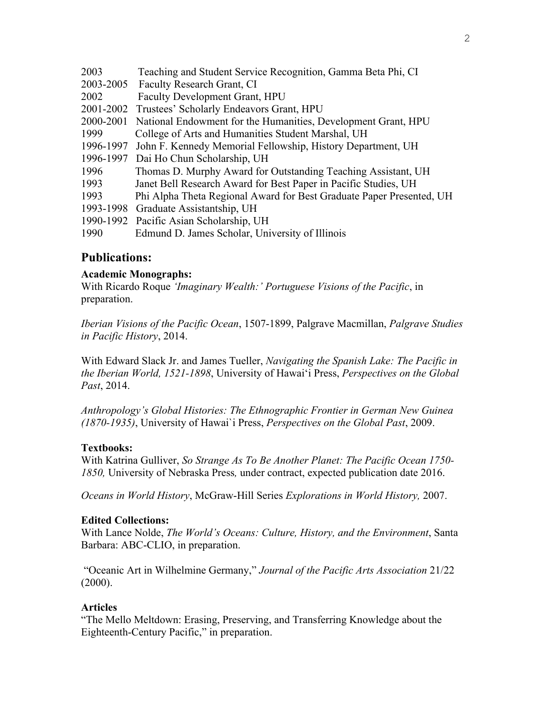| 2003      | Teaching and Student Service Recognition, Gamma Beta Phi, CI         |
|-----------|----------------------------------------------------------------------|
| 2003-2005 | Faculty Research Grant, CI                                           |
| 2002      | <b>Faculty Development Grant, HPU</b>                                |
| 2001-2002 | Trustees' Scholarly Endeavors Grant, HPU                             |
| 2000-2001 | National Endowment for the Humanities, Development Grant, HPU        |
| 1999      | College of Arts and Humanities Student Marshal, UH                   |
| 1996-1997 | John F. Kennedy Memorial Fellowship, History Department, UH          |
| 1996-1997 | Dai Ho Chun Scholarship, UH                                          |
| 1996      | Thomas D. Murphy Award for Outstanding Teaching Assistant, UH        |
| 1993      | Janet Bell Research Award for Best Paper in Pacific Studies, UH      |
| 1993      | Phi Alpha Theta Regional Award for Best Graduate Paper Presented, UH |
| 1993-1998 | Graduate Assistantship, UH                                           |
|           | 1990-1992 Pacific Asian Scholarship, UH                              |
| 1990      | Edmund D. James Scholar, University of Illinois                      |

# **Publications:**

#### **Academic Monographs:**

With Ricardo Roque *'Imaginary Wealth:' Portuguese Visions of the Pacific*, in preparation.

*Iberian Visions of the Pacific Ocean*, 1507-1899, Palgrave Macmillan, *Palgrave Studies in Pacific History*, 2014.

With Edward Slack Jr. and James Tueller, *Navigating the Spanish Lake: The Pacific in the Iberian World, 1521-1898*, University of Hawai'i Press, *Perspectives on the Global Past*, 2014.

*Anthropology's Global Histories: The Ethnographic Frontier in German New Guinea (1870-1935)*, University of Hawai`i Press, *Perspectives on the Global Past*, 2009.

#### **Textbooks:**

With Katrina Gulliver, *So Strange As To Be Another Planet: The Pacific Ocean 1750- 1850,* University of Nebraska Press*,* under contract, expected publication date 2016.

*Oceans in World History*, McGraw-Hill Series *Explorations in World History,* 2007.

#### **Edited Collections:**

With Lance Nolde, *The World's Oceans: Culture, History, and the Environment*, Santa Barbara: ABC-CLIO, in preparation.

"Oceanic Art in Wilhelmine Germany," *Journal of the Pacific Arts Association* 21/22  $(2000)$ .

#### **Articles**

"The Mello Meltdown: Erasing, Preserving, and Transferring Knowledge about the Eighteenth-Century Pacific," in preparation.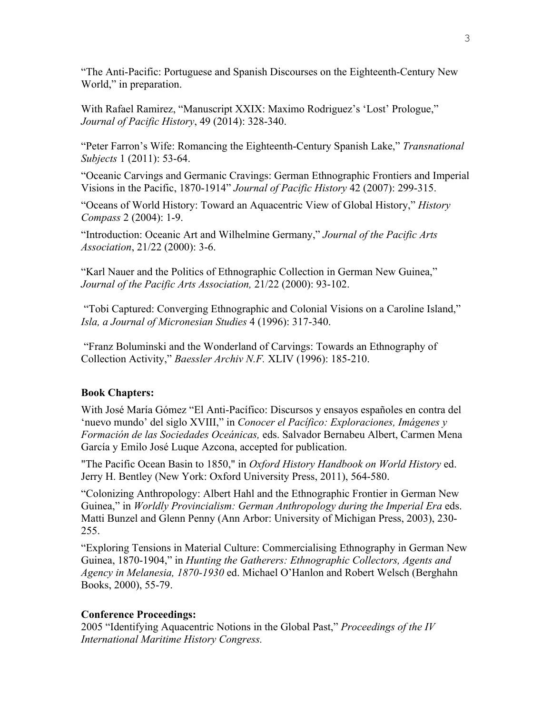"The Anti-Pacific: Portuguese and Spanish Discourses on the Eighteenth-Century New World," in preparation.

With Rafael Ramirez, "Manuscript XXIX: Maximo Rodriguez's 'Lost' Prologue," *Journal of Pacific History*, 49 (2014): 328-340.

"Peter Farron's Wife: Romancing the Eighteenth-Century Spanish Lake," *Transnational Subjects* 1 (2011): 53-64.

"Oceanic Carvings and Germanic Cravings: German Ethnographic Frontiers and Imperial Visions in the Pacific, 1870-1914" *Journal of Pacific History* 42 (2007): 299-315.

"Oceans of World History: Toward an Aquacentric View of Global History," *History Compass* 2 (2004): 1-9.

"Introduction: Oceanic Art and Wilhelmine Germany," *Journal of the Pacific Arts Association*, 21/22 (2000): 3-6.

"Karl Nauer and the Politics of Ethnographic Collection in German New Guinea," *Journal of the Pacific Arts Association,* 21/22 (2000): 93-102.

"Tobi Captured: Converging Ethnographic and Colonial Visions on a Caroline Island," *Isla, a Journal of Micronesian Studies* 4 (1996): 317-340.

"Franz Boluminski and the Wonderland of Carvings: Towards an Ethnography of Collection Activity," *Baessler Archiv N.F.* XLIV (1996): 185-210.

#### **Book Chapters:**

With José María Gómez "El Anti-Pacífico: Discursos y ensayos españoles en contra del 'nuevo mundo' del siglo XVIII," in *Conocer el Pacífico: Exploraciones, Imágenes y Formación de las Sociedades Oceánicas,* eds. Salvador Bernabeu Albert, Carmen Mena García y Emilo José Luque Azcona, accepted for publication.

"The Pacific Ocean Basin to 1850," in *Oxford History Handbook on World History* ed. Jerry H. Bentley (New York: Oxford University Press, 2011), 564-580.

"Colonizing Anthropology: Albert Hahl and the Ethnographic Frontier in German New Guinea," in *Worldly Provincialism: German Anthropology during the Imperial Era* eds. Matti Bunzel and Glenn Penny (Ann Arbor: University of Michigan Press, 2003), 230- 255.

"Exploring Tensions in Material Culture: Commercialising Ethnography in German New Guinea, 1870-1904," in *Hunting the Gatherers: Ethnographic Collectors, Agents and Agency in Melanesia, 1870-1930* ed. Michael O'Hanlon and Robert Welsch (Berghahn Books, 2000), 55-79.

#### **Conference Proceedings:**

2005 "Identifying Aquacentric Notions in the Global Past," *Proceedings of the IV International Maritime History Congress.*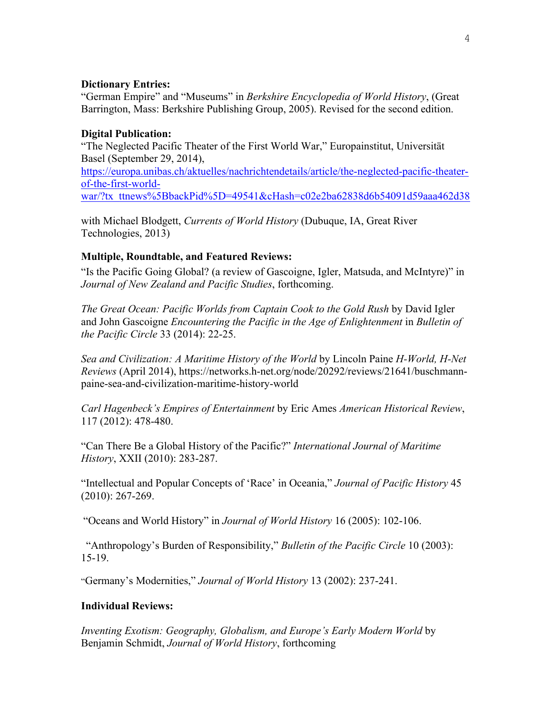#### **Dictionary Entries:**

"German Empire" and "Museums" in *Berkshire Encyclopedia of World History*, (Great Barrington, Mass: Berkshire Publishing Group, 2005). Revised for the second edition.

### **Digital Publication:**

"The Neglected Pacific Theater of the First World War," Europainstitut, Universität Basel (September 29, 2014), https://europa.unibas.ch/aktuelles/nachrichtendetails/article/the-neglected-pacific-theaterof-the-first-world-

war/?tx\_ttnews%5BbackPid%5D=49541&cHash=c02e2ba62838d6b54091d59aaa462d38

with Michael Blodgett, *Currents of World History* (Dubuque, IA, Great River Technologies, 2013)

### **Multiple, Roundtable, and Featured Reviews:**

"Is the Pacific Going Global? (a review of Gascoigne, Igler, Matsuda, and McIntyre)" in *Journal of New Zealand and Pacific Studies*, forthcoming.

*The Great Ocean: Pacific Worlds from Captain Cook to the Gold Rush* by David Igler and John Gascoigne *Encountering the Pacific in the Age of Enlightenment* in *Bulletin of the Pacific Circle* 33 (2014): 22-25.

*Sea and Civilization: A Maritime History of the World* by Lincoln Paine *H-World, H-Net Reviews* (April 2014), https://networks.h-net.org/node/20292/reviews/21641/buschmannpaine-sea-and-civilization-maritime-history-world

*Carl Hagenbeck's Empires of Entertainment* by Eric Ames *American Historical Review*, 117 (2012): 478-480.

"Can There Be a Global History of the Pacific?" *International Journal of Maritime History*, XXII (2010): 283-287.

"Intellectual and Popular Concepts of 'Race' in Oceania," *Journal of Pacific History* 45 (2010): 267-269.

"Oceans and World History" in *Journal of World History* 16 (2005): 102-106.

"Anthropology's Burden of Responsibility," *Bulletin of the Pacific Circle* 10 (2003): 15-19.

"Germany's Modernities," *Journal of World History* 13 (2002): 237-241.

### **Individual Reviews:**

*Inventing Exotism: Geography, Globalism, and Europe's Early Modern World* by Benjamin Schmidt, *Journal of World History*, forthcoming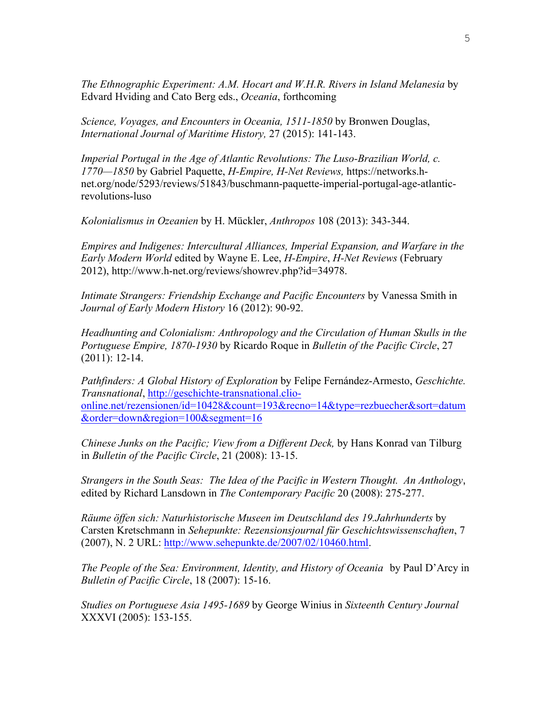*The Ethnographic Experiment: A.M. Hocart and W.H.R. Rivers in Island Melanesia* by Edvard Hviding and Cato Berg eds., *Oceania*, forthcoming

*Science, Voyages, and Encounters in Oceania, 1511-1850* by Bronwen Douglas, *International Journal of Maritime History,* 27 (2015): 141-143.

*Imperial Portugal in the Age of Atlantic Revolutions: The Luso-Brazilian World, c. 1770—1850* by Gabriel Paquette, *H-Empire, H-Net Reviews,* https://networks.hnet.org/node/5293/reviews/51843/buschmann-paquette-imperial-portugal-age-atlanticrevolutions-luso

*Kolonialismus in Ozeanien* by H. Mückler, *Anthropos* 108 (2013): 343-344.

*Empires and Indigenes: Intercultural Alliances, Imperial Expansion, and Warfare in the Early Modern World* edited by Wayne E. Lee, *H-Empire*, *H-Net Reviews* (February 2012), http://www.h-net.org/reviews/showrev.php?id=34978.

*Intimate Strangers: Friendship Exchange and Pacific Encounters* by Vanessa Smith in *Journal of Early Modern History* 16 (2012): 90-92.

*Headhunting and Colonialism: Anthropology and the Circulation of Human Skulls in the Portuguese Empire, 1870-1930* by Ricardo Roque in *Bulletin of the Pacific Circle*, 27 (2011): 12-14.

*Pathfinders: A Global History of Exploration* by Felipe Fernández-Armesto, *Geschichte. Transnational*, http://geschichte-transnational.clioonline.net/rezensionen/id=10428&count=193&recno=14&type=rezbuecher&sort=datum &order=down&region=100&segment=16

*Chinese Junks on the Pacific; View from a Different Deck,* by Hans Konrad van Tilburg in *Bulletin of the Pacific Circle*, 21 (2008): 13-15.

*Strangers in the South Seas: The Idea of the Pacific in Western Thought. An Anthology*, edited by Richard Lansdown in *The Contemporary Pacific* 20 (2008): 275-277.

*Räume öffen sich: Naturhistorische Museen im Deutschland des 19.Jahrhunderts* by Carsten Kretschmann in *Sehepunkte: Rezensionsjournal für Geschichtswissenschaften*, 7 (2007), N. 2 URL: http://www.sehepunkte.de/2007/02/10460.html.

*The People of the Sea: Environment, Identity, and History of Oceania* by Paul D'Arcy in *Bulletin of Pacific Circle*, 18 (2007): 15-16.

*Studies on Portuguese Asia 1495-1689* by George Winius in *Sixteenth Century Journal* XXXVI (2005): 153-155.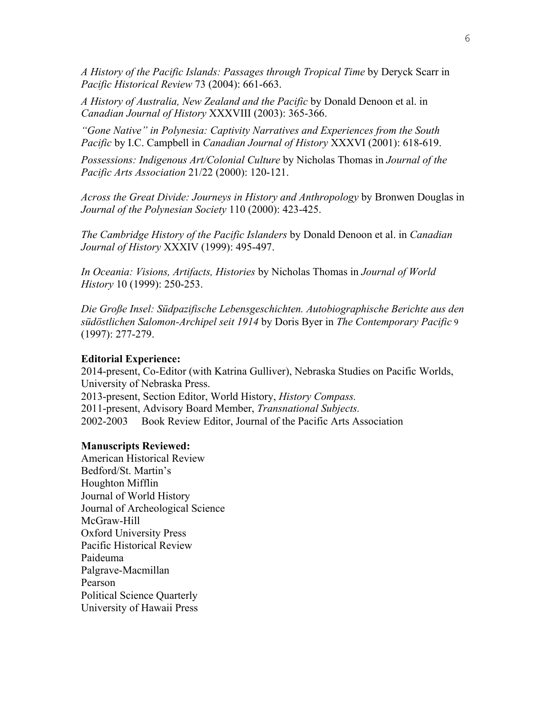*A History of the Pacific Islands: Passages through Tropical Time* by Deryck Scarr in *Pacific Historical Review* 73 (2004): 661-663.

*A History of Australia, New Zealand and the Pacific* by Donald Denoon et al. in *Canadian Journal of History* XXXVIII (2003): 365-366.

*"Gone Native" in Polynesia: Captivity Narratives and Experiences from the South Pacific* by I.C. Campbell in *Canadian Journal of History* XXXVI (2001): 618-619.

*Possessions: Indigenous Art/Colonial Culture* by Nicholas Thomas in *Journal of the Pacific Arts Association* 21/22 (2000): 120-121.

*Across the Great Divide: Journeys in History and Anthropology* by Bronwen Douglas in *Journal of the Polynesian Society* 110 (2000): 423-425.

*The Cambridge History of the Pacific Islanders* by Donald Denoon et al. in *Canadian Journal of History* XXXIV (1999): 495-497.

*In Oceania: Visions, Artifacts, Histories* by Nicholas Thomas in *Journal of World History* 10 (1999): 250-253.

*Die Große Insel: Südpazifische Lebensgeschichten. Autobiographische Berichte aus den südöstlichen Salomon-Archipel seit 1914* by Doris Byer in *The Contemporary Pacific* 9 (1997): 277-279.

#### **Editorial Experience:**

2014-present, Co-Editor (with Katrina Gulliver), Nebraska Studies on Pacific Worlds, University of Nebraska Press. 2013-present, Section Editor, World History, *History Compass.* 2011-present, Advisory Board Member, *Transnational Subjects.* 2002-2003 Book Review Editor, Journal of the Pacific Arts Association

#### **Manuscripts Reviewed:**

American Historical Review Bedford/St. Martin's Houghton Mifflin Journal of World History Journal of Archeological Science McGraw-Hill Oxford University Press Pacific Historical Review Paideuma Palgrave-Macmillan Pearson Political Science Quarterly University of Hawaii Press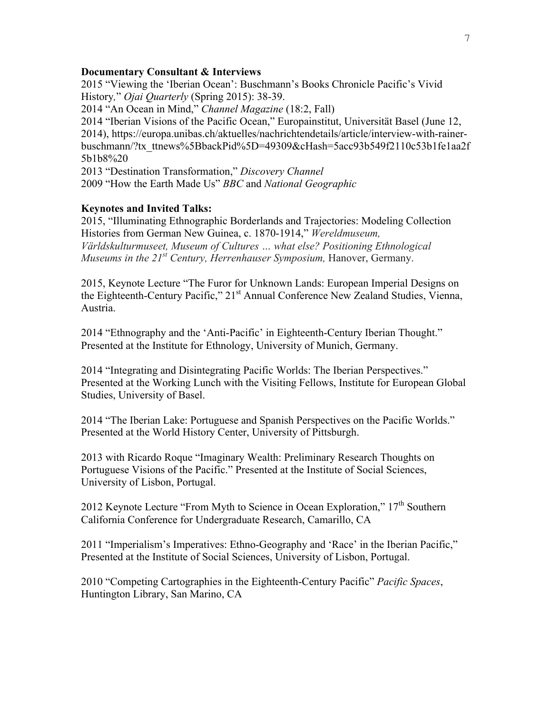#### **Documentary Consultant & Interviews**

2015 "Viewing the 'Iberian Ocean': Buschmann's Books Chronicle Pacific's Vivid History*,*" *Ojai Quarterly* (Spring 2015): 38-39.

2014 "An Ocean in Mind," *Channel Magazine* (18:2, Fall)

2014 "Iberian Visions of the Pacific Ocean," Europainstitut, Universität Basel (June 12, 2014), https://europa.unibas.ch/aktuelles/nachrichtendetails/article/interview-with-rainerbuschmann/?tx\_ttnews%5BbackPid%5D=49309&cHash=5acc93b549f2110c53b1fe1aa2f 5b1b8%20

2013 "Destination Transformation," *Discovery Channel* 2009 "How the Earth Made Us" *BBC* and *National Geographic*

#### **Keynotes and Invited Talks:**

2015, "Illuminating Ethnographic Borderlands and Trajectories: Modeling Collection Histories from German New Guinea, c. 1870-1914," *Wereldmuseum, Världskulturmuseet, Museum of Cultures … what else? Positioning Ethnological Museums in the 21st Century, Herrenhauser Symposium,* Hanover, Germany.

2015, Keynote Lecture "The Furor for Unknown Lands: European Imperial Designs on the Eighteenth-Century Pacific," 21<sup>st</sup> Annual Conference New Zealand Studies, Vienna, Austria.

2014 "Ethnography and the 'Anti-Pacific' in Eighteenth-Century Iberian Thought." Presented at the Institute for Ethnology, University of Munich, Germany.

2014 "Integrating and Disintegrating Pacific Worlds: The Iberian Perspectives." Presented at the Working Lunch with the Visiting Fellows, Institute for European Global Studies, University of Basel.

2014 "The Iberian Lake: Portuguese and Spanish Perspectives on the Pacific Worlds." Presented at the World History Center, University of Pittsburgh.

2013 with Ricardo Roque "Imaginary Wealth: Preliminary Research Thoughts on Portuguese Visions of the Pacific." Presented at the Institute of Social Sciences, University of Lisbon, Portugal.

2012 Keynote Lecture "From Myth to Science in Ocean Exploration," 17<sup>th</sup> Southern California Conference for Undergraduate Research, Camarillo, CA

2011 "Imperialism's Imperatives: Ethno-Geography and 'Race' in the Iberian Pacific," Presented at the Institute of Social Sciences, University of Lisbon, Portugal.

2010 "Competing Cartographies in the Eighteenth-Century Pacific" *Pacific Spaces*, Huntington Library, San Marino, CA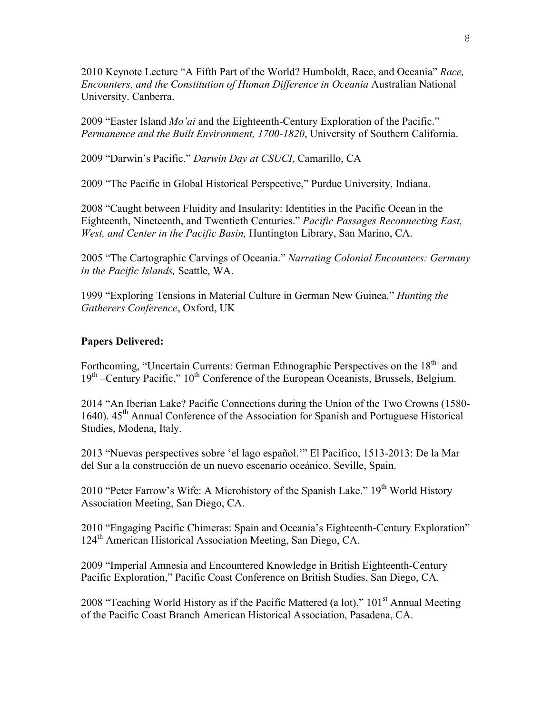2010 Keynote Lecture "A Fifth Part of the World? Humboldt, Race, and Oceania" *Race, Encounters, and the Constitution of Human Difference in Oceania* Australian National University. Canberra.

2009 "Easter Island *Mo'ai* and the Eighteenth-Century Exploration of the Pacific." *Permanence and the Built Environment, 1700-1820*, University of Southern California.

2009 "Darwin's Pacific." *Darwin Day at CSUCI*, Camarillo, CA

2009 "The Pacific in Global Historical Perspective," Purdue University, Indiana.

2008 "Caught between Fluidity and Insularity: Identities in the Pacific Ocean in the Eighteenth, Nineteenth, and Twentieth Centuries." *Pacific Passages Reconnecting East, West, and Center in the Pacific Basin,* Huntington Library, San Marino, CA.

2005 "The Cartographic Carvings of Oceania." *Narrating Colonial Encounters: Germany in the Pacific Islands,* Seattle, WA.

1999 "Exploring Tensions in Material Culture in German New Guinea." *Hunting the Gatherers Conference*, Oxford, UK

#### **Papers Delivered:**

Forthcoming, "Uncertain Currents: German Ethnographic Perspectives on the 18<sup>th-</sup> and 19<sup>th</sup> –Century Pacific," 10<sup>th</sup> Conference of the European Oceanists, Brussels, Belgium.

2014 "An Iberian Lake? Pacific Connections during the Union of the Two Crowns (1580- 1640).  $45<sup>th</sup>$  Annual Conference of the Association for Spanish and Portuguese Historical Studies, Modena, Italy.

2013 "Nuevas perspectives sobre 'el lago español.'" El Pacífico, 1513-2013: De la Mar del Sur a la construcción de un nuevo escenario oceánico, Seville, Spain.

2010 "Peter Farrow's Wife: A Microhistory of the Spanish Lake."  $19<sup>th</sup>$  World History Association Meeting, San Diego, CA.

2010 "Engaging Pacific Chimeras: Spain and Oceania's Eighteenth-Century Exploration" 124<sup>th</sup> American Historical Association Meeting, San Diego, CA.

2009 "Imperial Amnesia and Encountered Knowledge in British Eighteenth-Century Pacific Exploration," Pacific Coast Conference on British Studies, San Diego, CA.

2008 "Teaching World History as if the Pacific Mattered (a lot),"  $101<sup>st</sup>$  Annual Meeting of the Pacific Coast Branch American Historical Association, Pasadena, CA.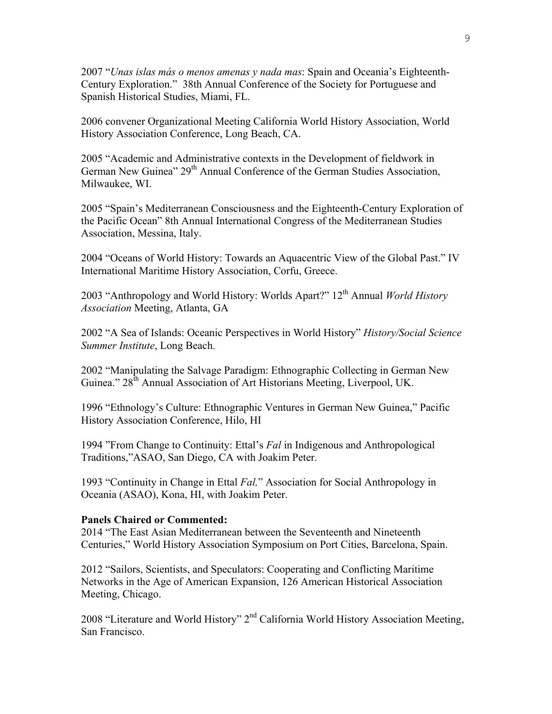2007 "*Unas islas más o menos amenas y nada mas*: Spain and Oceania's Eighteenth-Century Exploration." 38th Annual Conference of the Society for Portuguese and Spanish Historical Studies, Miami, FL.

2006 convener Organizational Meeting California World History Association, World History Association Conference, Long Beach, CA.

2005 "Academic and Administrative contexts in the Development of fieldwork in German New Guinea" 29<sup>th</sup> Annual Conference of the German Studies Association, Milwaukee, WI.

2005 "Spain's Mediterranean Consciousness and the Eighteenth-Century Exploration of the Pacific Ocean" 8th Annual International Congress of the Mediterranean Studies Association, Messina, Italy.

2004 "Oceans of World History: Towards an Aquacentric View of the Global Past." IV International Maritime History Association, Corfu, Greece.

2003 "Anthropology and World History: Worlds Apart?" 12th Annual *World History Association* Meeting, Atlanta, GA

2002 "A Sea of Islands: Oceanic Perspectives in World History" *History/Social Science Summer Institute*, Long Beach.

2002 "Manipulating the Salvage Paradigm: Ethnographic Collecting in German New Guinea."  $28^{th}$  Annual Association of Art Historians Meeting, Liverpool, UK.

1996 "Ethnology's Culture: Ethnographic Ventures in German New Guinea," Pacific History Association Conference, Hilo, HI

1994 "From Change to Continuity: Ettal's *Fal* in Indigenous and Anthropological Traditions,"ASAO, San Diego, CA with Joakim Peter.

1993 "Continuity in Change in Ettal *Fal,*" Association for Social Anthropology in Oceania (ASAO), Kona, HI, with Joakim Peter.

#### **Panels Chaired or Commented:**

2014 "The East Asian Mediterranean between the Seventeenth and Nineteenth Centuries," World History Association Symposium on Port Cities, Barcelona, Spain.

2012 "Sailors, Scientists, and Speculators: Cooperating and Conflicting Maritime Networks in the Age of American Expansion, 126 American Historical Association Meeting, Chicago.

2008 "Literature and World History" 2<sup>nd</sup> California World History Association Meeting, San Francisco.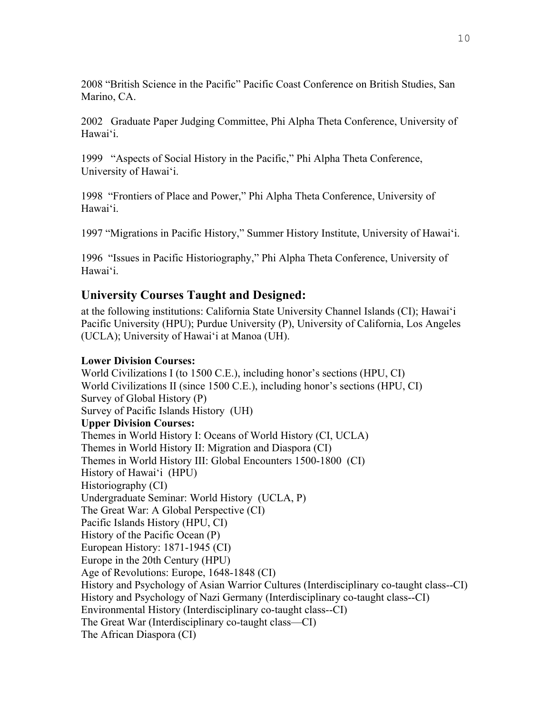2008 "British Science in the Pacific" Pacific Coast Conference on British Studies, San Marino, CA.

2002 Graduate Paper Judging Committee, Phi Alpha Theta Conference, University of Hawai'i.

1999 "Aspects of Social History in the Pacific," Phi Alpha Theta Conference, University of Hawai'i.

1998 "Frontiers of Place and Power," Phi Alpha Theta Conference, University of Hawai'i.

1997 "Migrations in Pacific History," Summer History Institute, University of Hawai'i.

1996 "Issues in Pacific Historiography," Phi Alpha Theta Conference, University of Hawai'i.

# **University Courses Taught and Designed:**

at the following institutions: California State University Channel Islands (CI); Hawai'i Pacific University (HPU); Purdue University (P), University of California, Los Angeles (UCLA); University of Hawai'i at Manoa (UH).

### **Lower Division Courses:**

World Civilizations I (to 1500 C.E.), including honor's sections (HPU, CI) World Civilizations II (since 1500 C.E.), including honor's sections (HPU, CI) Survey of Global History (P) Survey of Pacific Islands History (UH) **Upper Division Courses:** Themes in World History I: Oceans of World History (CI, UCLA) Themes in World History II: Migration and Diaspora (CI) Themes in World History III: Global Encounters 1500-1800 (CI) History of Hawai'i (HPU) Historiography (CI) Undergraduate Seminar: World History (UCLA, P) The Great War: A Global Perspective (CI) Pacific Islands History (HPU, CI) History of the Pacific Ocean (P) European History: 1871-1945 (CI) Europe in the 20th Century (HPU) Age of Revolutions: Europe, 1648-1848 (CI) History and Psychology of Asian Warrior Cultures (Interdisciplinary co-taught class--CI) History and Psychology of Nazi Germany (Interdisciplinary co-taught class--CI) Environmental History (Interdisciplinary co-taught class--CI) The Great War (Interdisciplinary co-taught class—CI) The African Diaspora (CI)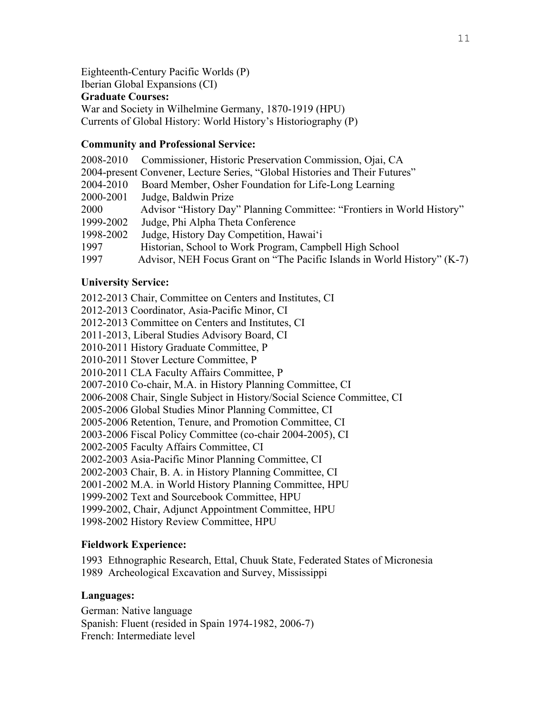Eighteenth-Century Pacific Worlds (P)

Iberian Global Expansions (CI)

### **Graduate Courses:**

War and Society in Wilhelmine Germany, 1870-1919 (HPU) Currents of Global History: World History's Historiography (P)

# **Community and Professional Service:**

| 2008-2010 | Commissioner, Historic Preservation Commission, Ojai, CA                    |
|-----------|-----------------------------------------------------------------------------|
|           | 2004-present Convener, Lecture Series, "Global Histories and Their Futures" |
| 2004-2010 | Board Member, Osher Foundation for Life-Long Learning                       |
| 2000-2001 | Judge, Baldwin Prize                                                        |
| 2000      | Advisor "History Day" Planning Committee: "Frontiers in World History"      |
| 1999-2002 | Judge, Phi Alpha Theta Conference                                           |
| 1998-2002 | Judge, History Day Competition, Hawai'i                                     |
| 1997      | Historian, School to Work Program, Campbell High School                     |
| 1997      | Advisor, NEH Focus Grant on "The Pacific Islands in World History" (K-7)    |

# **University Service:**

2012-2013 Chair, Committee on Centers and Institutes, CI

2012-2013 Coordinator, Asia-Pacific Minor, CI

2012-2013 Committee on Centers and Institutes, CI

2011-2013, Liberal Studies Advisory Board, CI

2010-2011 History Graduate Committee, P

2010-2011 Stover Lecture Committee, P

2010-2011 CLA Faculty Affairs Committee, P

2007-2010 Co-chair, M.A. in History Planning Committee, CI

2006-2008 Chair, Single Subject in History/Social Science Committee, CI

2005-2006 Global Studies Minor Planning Committee, CI

2005-2006 Retention, Tenure, and Promotion Committee, CI

2003-2006 Fiscal Policy Committee (co-chair 2004-2005), CI

2002-2005 Faculty Affairs Committee, CI

2002-2003 Asia-Pacific Minor Planning Committee, CI

2002-2003 Chair, B. A. in History Planning Committee, CI

2001-2002 M.A. in World History Planning Committee, HPU

1999-2002 Text and Sourcebook Committee, HPU

1999-2002, Chair, Adjunct Appointment Committee, HPU

1998-2002 History Review Committee, HPU

# **Fieldwork Experience:**

1993 Ethnographic Research, Ettal, Chuuk State, Federated States of Micronesia 1989 Archeological Excavation and Survey, Mississippi

# **Languages:**

German: Native language Spanish: Fluent (resided in Spain 1974-1982, 2006-7) French: Intermediate level